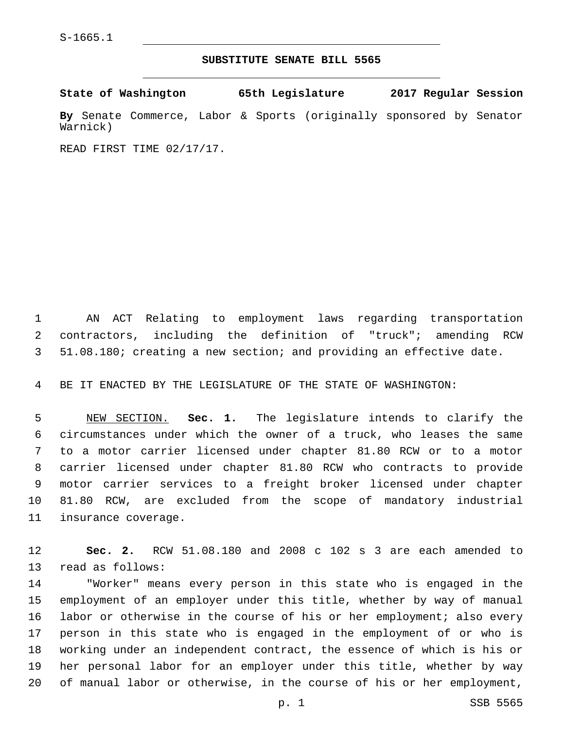## **SUBSTITUTE SENATE BILL 5565**

**State of Washington 65th Legislature 2017 Regular Session By** Senate Commerce, Labor & Sports (originally sponsored by Senator Warnick)

READ FIRST TIME 02/17/17.

 AN ACT Relating to employment laws regarding transportation contractors, including the definition of "truck"; amending RCW 51.08.180; creating a new section; and providing an effective date.

BE IT ENACTED BY THE LEGISLATURE OF THE STATE OF WASHINGTON:

 NEW SECTION. **Sec. 1.** The legislature intends to clarify the circumstances under which the owner of a truck, who leases the same to a motor carrier licensed under chapter 81.80 RCW or to a motor carrier licensed under chapter 81.80 RCW who contracts to provide motor carrier services to a freight broker licensed under chapter 81.80 RCW, are excluded from the scope of mandatory industrial insurance coverage.

 **Sec. 2.** RCW 51.08.180 and 2008 c 102 s 3 are each amended to 13 read as follows:

 "Worker" means every person in this state who is engaged in the employment of an employer under this title, whether by way of manual labor or otherwise in the course of his or her employment; also every person in this state who is engaged in the employment of or who is working under an independent contract, the essence of which is his or her personal labor for an employer under this title, whether by way of manual labor or otherwise, in the course of his or her employment,